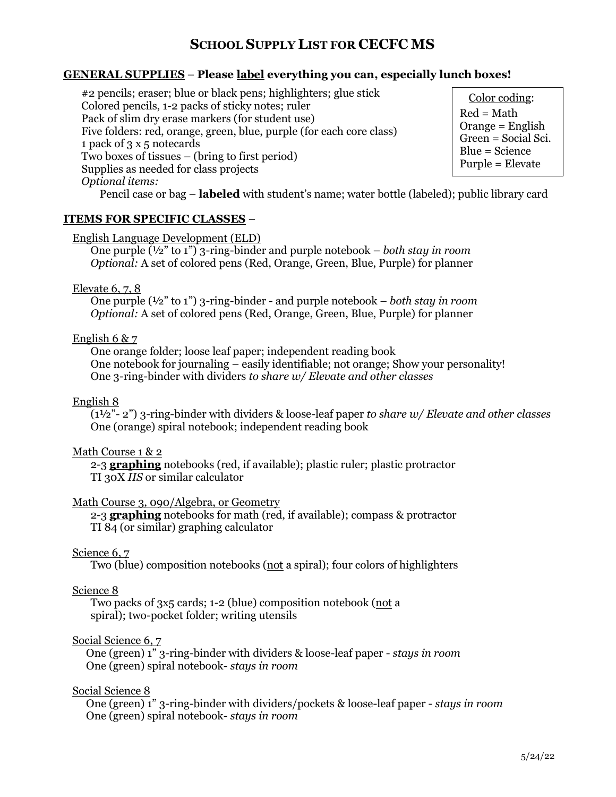## **SCHOOL SUPPLY LIST FOR CECFC MS**

## **GENERAL SUPPLIES** – **Please label everything you can, especially lunch boxes!**

#2 pencils; eraser; blue or black pens; highlighters; glue stick Colored pencils, 1-2 packs of sticky notes; ruler Pack of slim dry erase markers (for student use) Five folders: red, orange, green, blue, purple (for each core class) 1 pack of 3 x 5 notecards Two boxes of tissues – (bring to first period) Supplies as needed for class projects *Optional items:* 

Color coding: Red = Math Orange = English Green = Social Sci. Blue = Science Purple = Elevate

Pencil case or bag – **labeled** with student's name; water bottle (labeled); public library card

### **ITEMS FOR SPECIFIC CLASSES** –

English Language Development (ELD)

One purple (½" to 1") 3-ring-binder and purple notebook – *both stay in room Optional:* A set of colored pens (Red, Orange, Green, Blue, Purple) for planner

### Elevate 6, 7, 8

One purple (½" to 1") 3-ring-binder - and purple notebook – *both stay in room Optional:* A set of colored pens (Red, Orange, Green, Blue, Purple) for planner

### English 6 & 7

One orange folder; loose leaf paper; independent reading book One notebook for journaling – easily identifiable; not orange; Show your personality! One 3-ring-binder with dividers *to share w/ Elevate and other classes*

### English 8

(1½"- 2") 3-ring-binder with dividers & loose-leaf paper *to share w/ Elevate and other classes* One (orange) spiral notebook; independent reading book

### Math Course 1 & 2

2-3 **graphing** notebooks (red, if available); plastic ruler; plastic protractor TI 30X *IIS* or similar calculator

### Math Course 3, 090/Algebra, or Geometry

2-3 **graphing** notebooks for math (red, if available); compass & protractor TI 84 (or similar) graphing calculator

### Science 6, 7

Two (blue) composition notebooks (not a spiral); four colors of highlighters

#### Science 8

Two packs of 3x5 cards; 1-2 (blue) composition notebook (not a spiral); two-pocket folder; writing utensils

### Social Science 6, 7

One (green) 1" 3-ring-binder with dividers & loose-leaf paper - *stays in room* One (green) spiral notebook- *stays in room*

### Social Science 8

One (green) 1" 3-ring-binder with dividers/pockets & loose-leaf paper - *stays in room* One (green) spiral notebook- *stays in room*